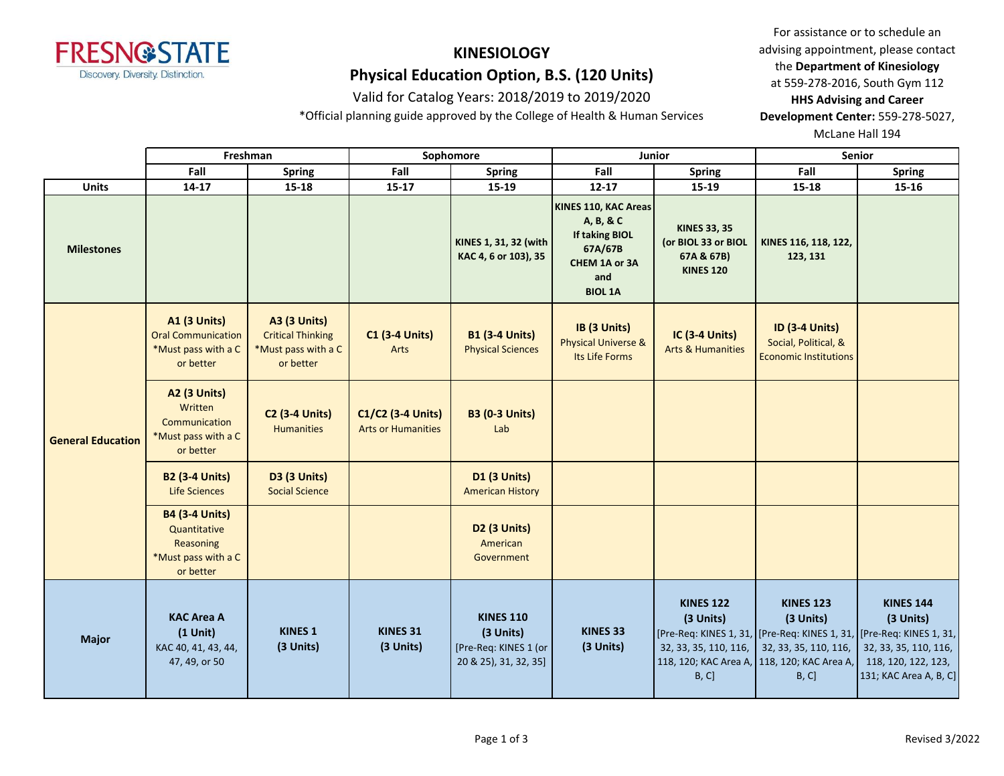

# **KINESIOLOGY**

# **Physical Education Option, B.S. (120 Units)**

### Valid for Catalog Years: 2018/2019 to 2019/2020

\*Official planning guide approved by the College of Health & Human Services

For assistance or to schedule an advising appointment, please contact the **Department of Kinesiology** at 559-278-2016, South Gym 112 **HHS Advising and Career Development Center:** 559-278-5027,

McLane Hall 194

|                          |                                                                                        | Freshman                                                                            | Sophomore                                      |                                                                                 | Junior                                                                                                          |                                                                              | Senior                                                                                                                                                                                     |                                                                                                         |
|--------------------------|----------------------------------------------------------------------------------------|-------------------------------------------------------------------------------------|------------------------------------------------|---------------------------------------------------------------------------------|-----------------------------------------------------------------------------------------------------------------|------------------------------------------------------------------------------|--------------------------------------------------------------------------------------------------------------------------------------------------------------------------------------------|---------------------------------------------------------------------------------------------------------|
|                          | Fall                                                                                   | Spring                                                                              | Fall                                           | <b>Spring</b>                                                                   | Fall                                                                                                            | Spring                                                                       | Fall                                                                                                                                                                                       | <b>Spring</b>                                                                                           |
| <b>Units</b>             | $14-17$                                                                                | $15 - 18$                                                                           | 15-17                                          | 15-19                                                                           | $12 - 17$                                                                                                       | 15-19                                                                        | $15 - 18$                                                                                                                                                                                  | $15 - 16$                                                                                               |
| <b>Milestones</b>        |                                                                                        |                                                                                     |                                                | KINES 1, 31, 32 (with<br>KAC 4, 6 or 103), 35                                   | KINES 110, KAC Areas<br>A, B, & C<br><b>If taking BIOL</b><br>67A/67B<br>CHEM 1A or 3A<br>and<br><b>BIOL 1A</b> | <b>KINES 33, 35</b><br>(or BIOL 33 or BIOL<br>67A & 67B)<br><b>KINES 120</b> | KINES 116, 118, 122,<br>123, 131                                                                                                                                                           |                                                                                                         |
|                          | <b>A1 (3 Units)</b><br><b>Oral Communication</b><br>*Must pass with a C<br>or better   | <b>A3 (3 Units)</b><br><b>Critical Thinking</b><br>*Must pass with a C<br>or better | <b>C1 (3-4 Units)</b><br>Arts                  | <b>B1 (3-4 Units)</b><br><b>Physical Sciences</b>                               | IB (3 Units)<br><b>Physical Universe &amp;</b><br>Its Life Forms                                                | <b>IC (3-4 Units)</b><br><b>Arts &amp; Humanities</b>                        | <b>ID (3-4 Units)</b><br>Social, Political, &<br><b>Economic Institutions</b>                                                                                                              |                                                                                                         |
| <b>General Education</b> | <b>A2 (3 Units)</b><br>Written<br>Communication<br>*Must pass with a C<br>or better    | <b>C2 (3-4 Units)</b><br><b>Humanities</b>                                          | C1/C2 (3-4 Units)<br><b>Arts or Humanities</b> | <b>B3 (0-3 Units)</b><br>Lab                                                    |                                                                                                                 |                                                                              |                                                                                                                                                                                            |                                                                                                         |
|                          | <b>B2 (3-4 Units)</b><br><b>Life Sciences</b>                                          | <b>D3 (3 Units)</b><br><b>Social Science</b>                                        |                                                | <b>D1 (3 Units)</b><br><b>American History</b>                                  |                                                                                                                 |                                                                              |                                                                                                                                                                                            |                                                                                                         |
|                          | <b>B4 (3-4 Units)</b><br>Quantitative<br>Reasoning<br>*Must pass with a C<br>or better |                                                                                     |                                                | D <sub>2</sub> (3 Units)<br>American<br>Government                              |                                                                                                                 |                                                                              |                                                                                                                                                                                            |                                                                                                         |
| <b>Major</b>             | <b>KAC Area A</b><br>$(1$ Unit)<br>KAC 40, 41, 43, 44,<br>47, 49, or 50                | <b>KINES 1</b><br>(3 Units)                                                         | KINES 31<br>(3 Units)                          | <b>KINES 110</b><br>(3 Units)<br>[Pre-Req: KINES 1 (or<br>20 & 25), 31, 32, 35] | KINES 33<br>(3 Units)                                                                                           | <b>KINES 122</b><br>(3 Units)<br>32, 33, 35, 110, 116,<br>B, C]              | <b>KINES 123</b><br>(3 Units)<br>[Pre-Req: KINES 1, 31,   [Pre-Req: KINES 1, 31,   [Pre-Req: KINES 1, 31,<br>32, 33, 35, 110, 116,<br>118, 120; KAC Area A, 118, 120; KAC Area A,<br>B, C] | <b>KINES 144</b><br>(3 Units)<br>32, 33, 35, 110, 116,<br>118, 120, 122, 123,<br>131; KAC Area A, B, C] |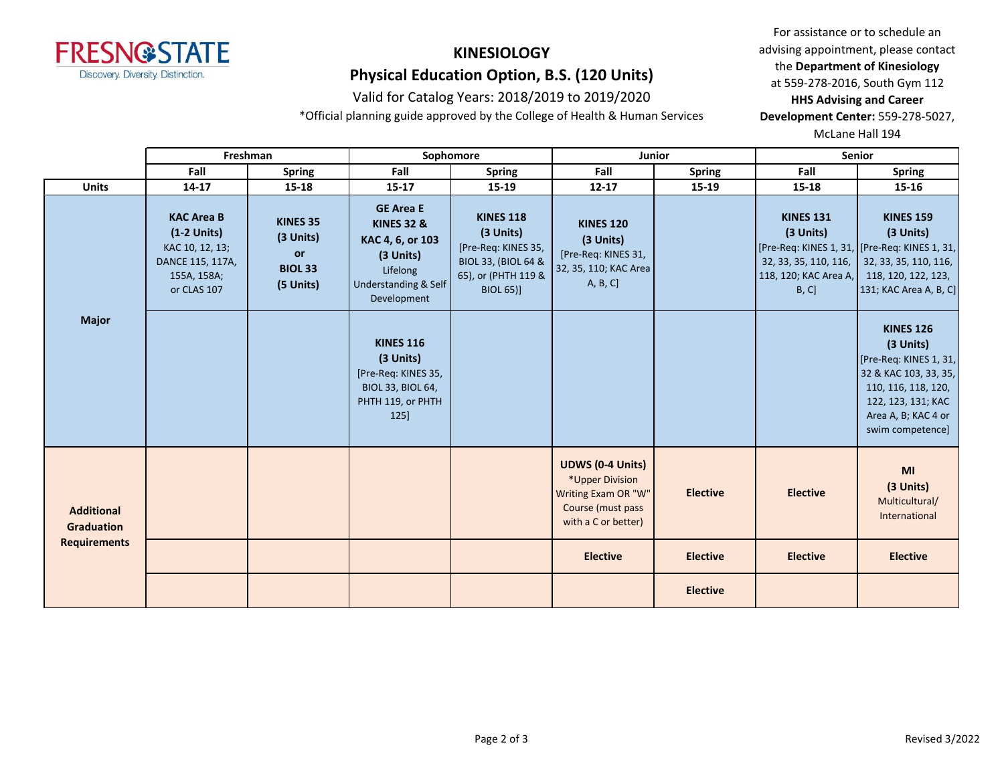

# **KINESIOLOGY**

# **Physical Education Option, B.S. (120 Units)**

### Valid for Catalog Years: 2018/2019 to 2019/2020

\*Official planning guide approved by the College of Health & Human Services

For assistance or to schedule an advising appointment, please contact the **Department of Kinesiology** at 559-278-2016, South Gym 112

**HHS Advising and Career Development Center:** 559-278-5027,

McLane Hall 194

|                                        |                                                                                                         | Freshman                                                          |                                                                                                                                          | Sophomore                                                                                                              |                                                                                                               | <b>Junior</b>   | <b>Senior</b>                                                                           |                                                                                                                                                                          |
|----------------------------------------|---------------------------------------------------------------------------------------------------------|-------------------------------------------------------------------|------------------------------------------------------------------------------------------------------------------------------------------|------------------------------------------------------------------------------------------------------------------------|---------------------------------------------------------------------------------------------------------------|-----------------|-----------------------------------------------------------------------------------------|--------------------------------------------------------------------------------------------------------------------------------------------------------------------------|
|                                        | Fall                                                                                                    | <b>Spring</b>                                                     | Fall                                                                                                                                     | <b>Spring</b>                                                                                                          | Fall                                                                                                          | <b>Spring</b>   | Fall                                                                                    | <b>Spring</b>                                                                                                                                                            |
| <b>Units</b>                           | $14 - 17$                                                                                               | 15-18                                                             | $15 - 17$                                                                                                                                | 15-19                                                                                                                  | $12 - 17$                                                                                                     | 15-19           | 15-18                                                                                   | 15-16                                                                                                                                                                    |
|                                        | <b>KAC Area B</b><br>$(1-2$ Units)<br>KAC 10, 12, 13;<br>DANCE 115, 117A,<br>155A, 158A;<br>or CLAS 107 | <b>KINES 35</b><br>(3 Units)<br>or<br><b>BIOL 33</b><br>(5 Units) | <b>GE Area E</b><br><b>KINES 32 &amp;</b><br>KAC 4, 6, or 103<br>(3 Units)<br>Lifelong<br><b>Understanding &amp; Self</b><br>Development | <b>KINES 118</b><br>(3 Units)<br>[Pre-Req: KINES 35,<br>BIOL 33, (BIOL 64 &<br>65), or (PHTH 119 &<br><b>BIOL 65)]</b> | <b>KINES 120</b><br>(3 Units)<br>[Pre-Req: KINES 31,<br>32, 35, 110; KAC Area<br>A, B, C]                     |                 | <b>KINES 131</b><br>(3 Units)<br>32, 33, 35, 110, 116,<br>118, 120; KAC Area A,<br>B, C | <b>KINES 159</b><br>(3 Units)<br>[Pre-Req: KINES 1, 31, [Pre-Req: KINES 1, 31,<br>32, 33, 35, 110, 116,<br>118, 120, 122, 123,<br>131; KAC Area A, B, C]                 |
| <b>Major</b>                           |                                                                                                         |                                                                   | <b>KINES 116</b><br>(3 Units)<br>[Pre-Req: KINES 35,<br><b>BIOL 33, BIOL 64,</b><br>PHTH 119, or PHTH<br>125                             |                                                                                                                        |                                                                                                               |                 |                                                                                         | <b>KINES 126</b><br>(3 Units)<br>[Pre-Req: KINES 1, 31,<br>32 & KAC 103, 33, 35,<br>110, 116, 118, 120,<br>122, 123, 131; KAC<br>Area A, B; KAC 4 or<br>swim competence] |
| <b>Additional</b><br><b>Graduation</b> |                                                                                                         |                                                                   |                                                                                                                                          |                                                                                                                        | <b>UDWS (0-4 Units)</b><br>*Upper Division<br>Writing Exam OR "W"<br>Course (must pass<br>with a C or better) | <b>Elective</b> | <b>Elective</b>                                                                         | MI<br>(3 Units)<br>Multicultural/<br>International                                                                                                                       |
| <b>Requirements</b>                    |                                                                                                         |                                                                   |                                                                                                                                          |                                                                                                                        | <b>Elective</b>                                                                                               | <b>Elective</b> | <b>Elective</b>                                                                         | <b>Elective</b>                                                                                                                                                          |
|                                        |                                                                                                         |                                                                   |                                                                                                                                          |                                                                                                                        |                                                                                                               | <b>Elective</b> |                                                                                         |                                                                                                                                                                          |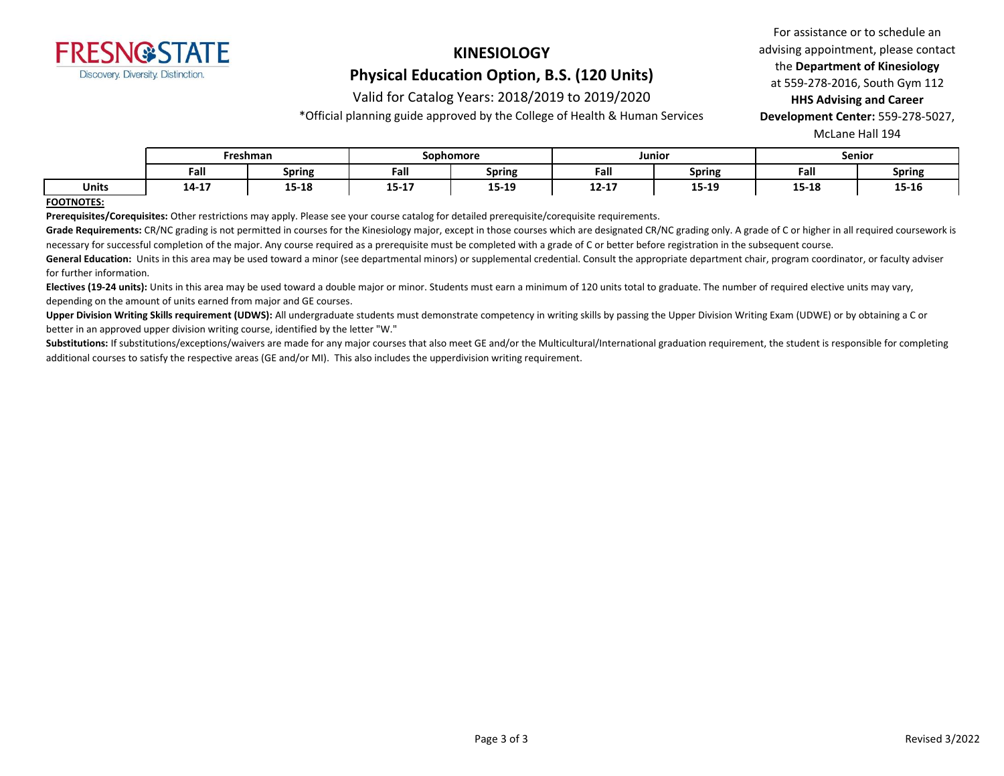

# **KINESIOLOGY**

# **Physical Education Option, B.S. (120 Units)**

### Valid for Catalog Years: 2018/2019 to 2019/2020

\*Official planning guide approved by the College of Health & Human Services

For assistance or to schedule an advising appointment, please contact the **Department of Kinesiology** at 559-278-2016, South Gym 112 **HHS Advising and Career** 

**Development Center:** 559-278-5027,

McLane Hall 194

|              | Freshman |               | Sophomore                                  |                       | Junior             |               | <b>Senior</b> |        |
|--------------|----------|---------------|--------------------------------------------|-----------------------|--------------------|---------------|---------------|--------|
|              | Fall     | <b>Spring</b> | Fall                                       | <b>Spring</b>         | Fall               | <b>Spring</b> | Fall          | Spring |
| <b>Units</b> | 14-17    | 15-18         | $\overline{a}$ = $\overline{a}$ =<br>13-T) | <b>15.10</b><br>19-19 | 17 17<br>$12 - 17$ | 15-19         | 15-18         | 15-16  |

#### **FOOTNOTES:**

**Prerequisites/Corequisites:** Other restrictions may apply. Please see your course catalog for detailed prerequisite/corequisite requirements.

Grade Requirements: CR/NC grading is not permitted in courses for the Kinesiology major, except in those courses which are designated CR/NC grading only. A grade of C or higher in all required coursework is necessary for successful completion of the major. Any course required as a prerequisite must be completed with a grade of C or better before registration in the subsequent course.

General Education: Units in this area may be used toward a minor (see departmental minors) or supplemental credential. Consult the appropriate department chair, program coordinator, or faculty adviser for further information.

**Electives (19-24 units):** Units in this area may be used toward a double major or minor. Students must earn a minimum of 120 units total to graduate. The number of required elective units may vary, depending on the amount of units earned from major and GE courses.

**Upper Division Writing Skills requirement (UDWS):** All undergraduate students must demonstrate competency in writing skills by passing the Upper Division Writing Exam (UDWE) or by obtaining a C or better in an approved upper division writing course, identified by the letter "W."

Substitutions: If substitutions/exceptions/waivers are made for any major courses that also meet GE and/or the Multicultural/International graduation requirement, the student is responsible for completing additional courses to satisfy the respective areas (GE and/or MI). This also includes the upperdivision writing requirement.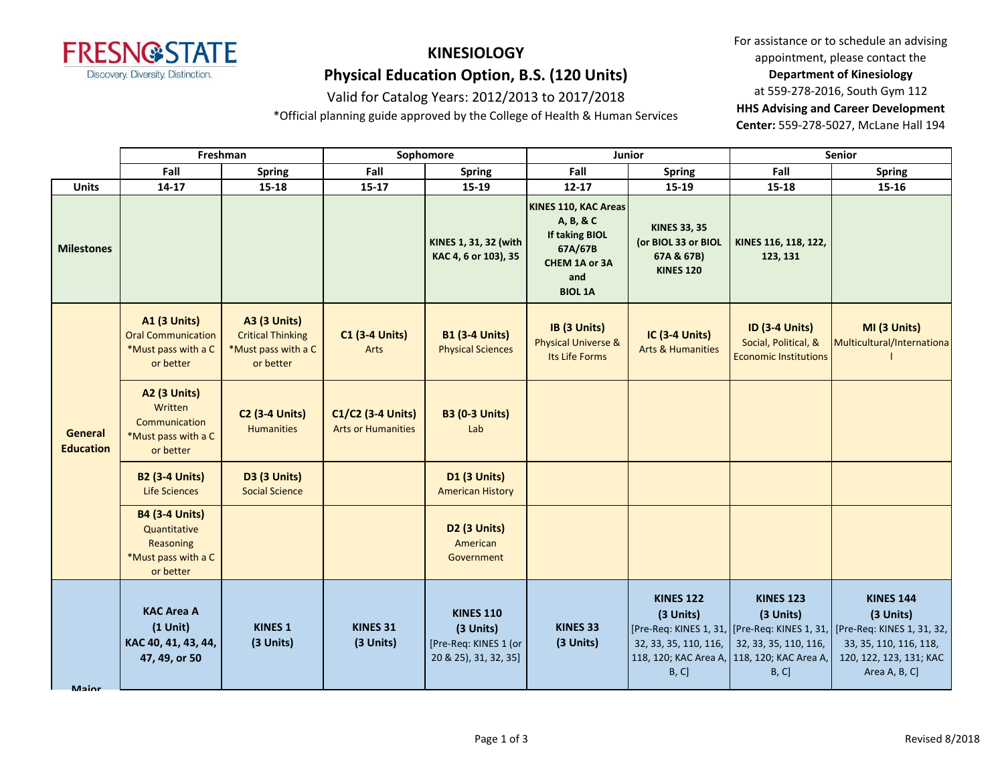

# **KINESIOLOGY Physical Education Option, B.S. (120 Units)**

### Valid for Catalog Years: 2012/2013 to 2017/2018

\*Official planning guide approved by the College of Health & Human Services

For assistance or to schedule an advising appointment, please contact the **Department of Kinesiology** at 559-278-2016, South Gym 112 **HHS Advising and Career Development Center:** 559-278-5027, McLane Hall 194

|                             | Freshman                                                                               |                                                                                     | Sophomore                                      |                                                                                 | Junior                                                                                                   |                                                                              | Senior                                                                                                         |                                                                                                                                                                                     |
|-----------------------------|----------------------------------------------------------------------------------------|-------------------------------------------------------------------------------------|------------------------------------------------|---------------------------------------------------------------------------------|----------------------------------------------------------------------------------------------------------|------------------------------------------------------------------------------|----------------------------------------------------------------------------------------------------------------|-------------------------------------------------------------------------------------------------------------------------------------------------------------------------------------|
|                             | Fall                                                                                   | <b>Spring</b>                                                                       | Fall                                           | <b>Spring</b>                                                                   | Fall                                                                                                     | <b>Spring</b>                                                                | Fall                                                                                                           | <b>Spring</b>                                                                                                                                                                       |
| <b>Units</b>                | 14-17                                                                                  | $15 - 18$                                                                           | $15 - 17$                                      | 15-19                                                                           | $12 - 17$                                                                                                | 15-19                                                                        | 15-18                                                                                                          | 15-16                                                                                                                                                                               |
| <b>Milestones</b>           |                                                                                        |                                                                                     |                                                | KINES 1, 31, 32 (with<br>KAC 4, 6 or 103), 35                                   | KINES 110, KAC Areas<br>A, B, & C<br>If taking BIOL<br>67A/67B<br>CHEM 1A or 3A<br>and<br><b>BIOL 1A</b> | <b>KINES 33, 35</b><br>(or BIOL 33 or BIOL<br>67A & 67B)<br><b>KINES 120</b> | KINES 116, 118, 122,<br>123, 131                                                                               |                                                                                                                                                                                     |
| General<br><b>Education</b> | <b>A1 (3 Units)</b><br><b>Oral Communication</b><br>*Must pass with a C<br>or better   | <b>A3 (3 Units)</b><br><b>Critical Thinking</b><br>*Must pass with a C<br>or better | <b>C1 (3-4 Units)</b><br>Arts                  | <b>B1 (3-4 Units)</b><br><b>Physical Sciences</b>                               | IB (3 Units)<br><b>Physical Universe &amp;</b><br>Its Life Forms                                         | IC (3-4 Units)<br><b>Arts &amp; Humanities</b>                               | <b>ID (3-4 Units)</b><br>Social, Political, &<br><b>Economic Institutions</b>                                  | MI (3 Units)<br>Multicultural/Internationa                                                                                                                                          |
|                             | A2 (3 Units)<br>Written<br>Communication<br>*Must pass with a C<br>or better           | <b>C2 (3-4 Units)</b><br><b>Humanities</b>                                          | C1/C2 (3-4 Units)<br><b>Arts or Humanities</b> | <b>B3 (0-3 Units)</b><br>Lab                                                    |                                                                                                          |                                                                              |                                                                                                                |                                                                                                                                                                                     |
|                             | <b>B2 (3-4 Units)</b><br>Life Sciences                                                 | <b>D3 (3 Units)</b><br><b>Social Science</b>                                        |                                                | <b>D1 (3 Units)</b><br><b>American History</b>                                  |                                                                                                          |                                                                              |                                                                                                                |                                                                                                                                                                                     |
|                             | <b>B4 (3-4 Units)</b><br>Quantitative<br>Reasoning<br>*Must pass with a C<br>or better |                                                                                     |                                                | D <sub>2</sub> (3 Units)<br>American<br>Government                              |                                                                                                          |                                                                              |                                                                                                                |                                                                                                                                                                                     |
| Maior                       | <b>KAC Area A</b><br>$(1$ Unit)<br>KAC 40, 41, 43, 44,<br>47, 49, or 50                | <b>KINES 1</b><br>(3 Units)                                                         | KINES <sub>31</sub><br>(3 Units)               | <b>KINES 110</b><br>(3 Units)<br>[Pre-Req: KINES 1 (or<br>20 & 25), 31, 32, 35] | <b>KINES 33</b><br>(3 Units)                                                                             | <b>KINES 122</b><br>(3 Units)<br>32, 33, 35, 110, 116,<br>B, C]              | <b>KINES 123</b><br>(3 Units)<br>32, 33, 35, 110, 116,<br>118, 120; KAC Area A, 118, 120; KAC Area A,<br>B, C] | <b>KINES 144</b><br>(3 Units)<br>[Pre-Req: KINES 1, 31,   [Pre-Req: KINES 1, 31,   [Pre-Req: KINES 1, 31, 32,<br>33, 35, 110, 116, 118,<br>120, 122, 123, 131; KAC<br>Area A, B, C] |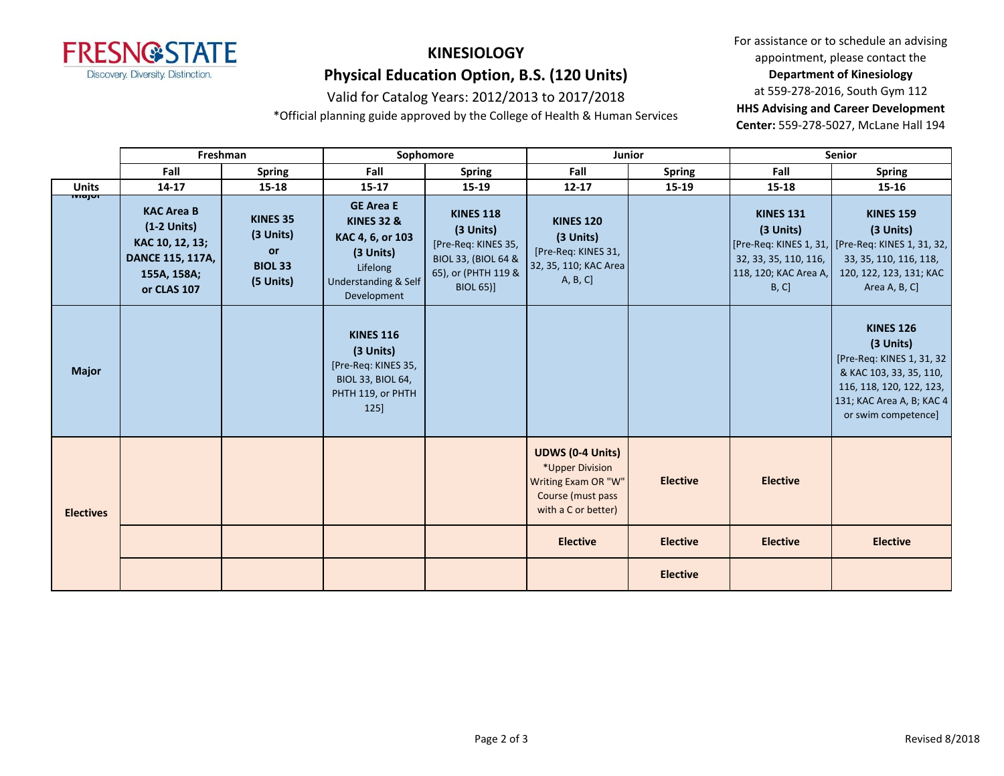

# **KINESIOLOGY Physical Education Option, B.S. (120 Units)**

### Valid for Catalog Years: 2012/2013 to 2017/2018

\*Official planning guide approved by the College of Health & Human Services

For assistance or to schedule an advising appointment, please contact the **Department of Kinesiology** at 559-278-2016, South Gym 112 **HHS Advising and Career Development** 

**Center:** 559-278-5027, McLane Hall 194

|                  | Freshman                                                                                                |                                                            | Sophomore                                                                                                                                |                                                                                                                                   | Junior                                                                                                        |                 | Senior                                                                                   |                                                                                                                                                                       |
|------------------|---------------------------------------------------------------------------------------------------------|------------------------------------------------------------|------------------------------------------------------------------------------------------------------------------------------------------|-----------------------------------------------------------------------------------------------------------------------------------|---------------------------------------------------------------------------------------------------------------|-----------------|------------------------------------------------------------------------------------------|-----------------------------------------------------------------------------------------------------------------------------------------------------------------------|
|                  | Fall                                                                                                    | <b>Spring</b>                                              | Fall                                                                                                                                     | <b>Spring</b>                                                                                                                     | Fall                                                                                                          | <b>Spring</b>   | Fall                                                                                     | <b>Spring</b>                                                                                                                                                         |
| <b>Units</b>     | $14 - 17$                                                                                               | $15 - 18$                                                  | $15 - 17$                                                                                                                                | 15-19                                                                                                                             | $12 - 17$                                                                                                     | 15-19           | $15 - 18$                                                                                | $15 - 16$                                                                                                                                                             |
| wajor            | <b>KAC Area B</b><br>$(1-2$ Units)<br>KAC 10, 12, 13;<br>DANCE 115, 117A,<br>155A, 158A;<br>or CLAS 107 | KINES 35<br>(3 Units)<br>or<br><b>BIOL 33</b><br>(5 Units) | <b>GE Area E</b><br><b>KINES 32 &amp;</b><br>KAC 4, 6, or 103<br>(3 Units)<br>Lifelong<br><b>Understanding &amp; Self</b><br>Development | <b>KINES 118</b><br>(3 Units)<br>[Pre-Req: KINES 35,<br><b>BIOL 33, (BIOL 64 &amp;</b><br>65), or (PHTH 119 &<br><b>BIOL 65)]</b> | <b>KINES 120</b><br>(3 Units)<br>[Pre-Req: KINES 31,<br>32, 35, 110; KAC Area<br>A, B, C]                     |                 | <b>KINES 131</b><br>(3 Units)<br>32, 33, 35, 110, 116,<br>118, 120; KAC Area A,<br>B, C] | <b>KINES 159</b><br>(3 Units)<br>[Pre-Req: KINES 1, 31, TPre-Req: KINES 1, 31, 32,<br>33, 35, 110, 116, 118,<br>120, 122, 123, 131; KAC<br>Area A, B, C]              |
| <b>Major</b>     |                                                                                                         |                                                            | <b>KINES 116</b><br>$(3$ Units)<br>[Pre-Req: KINES 35,<br>BIOL 33, BIOL 64,<br>PHTH 119, or PHTH<br>125]                                 |                                                                                                                                   |                                                                                                               |                 |                                                                                          | <b>KINES 126</b><br>(3 Units)<br>[Pre-Req: KINES 1, 31, 32<br>& KAC 103, 33, 35, 110,<br>116, 118, 120, 122, 123,<br>131; KAC Area A, B; KAC 4<br>or swim competence] |
| <b>Electives</b> |                                                                                                         |                                                            |                                                                                                                                          |                                                                                                                                   | <b>UDWS (0-4 Units)</b><br>*Upper Division<br>Writing Exam OR "W"<br>Course (must pass<br>with a C or better) | <b>Elective</b> | <b>Elective</b>                                                                          |                                                                                                                                                                       |
|                  |                                                                                                         |                                                            |                                                                                                                                          |                                                                                                                                   | <b>Elective</b>                                                                                               | <b>Elective</b> | <b>Elective</b>                                                                          | <b>Elective</b>                                                                                                                                                       |
|                  |                                                                                                         |                                                            |                                                                                                                                          |                                                                                                                                   |                                                                                                               | <b>Elective</b> |                                                                                          |                                                                                                                                                                       |